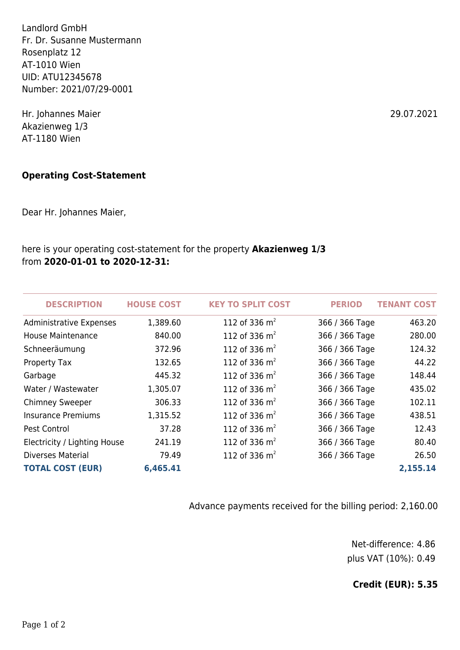Landlord GmbH Fr. Dr. Susanne Mustermann Rosenplatz 12 AT-1010 Wien UID: ATU12345678 Number: 2021/07/29-0001

Hr. Johannes Maier 29.07.2021 Akazienweg 1/3 AT-1180 Wien

## **Operating Cost-Statement**

Dear Hr. Johannes Maier,

## here is your operating cost-statement for the property **Akazienweg 1/3** from **2020-01-01 to 2020-12-31:**

| <b>DESCRIPTION</b>             | <b>HOUSE COST</b> | <b>KEY TO SPLIT COST</b> | <b>PERIOD</b>  | <b>TENANT COST</b> |
|--------------------------------|-------------------|--------------------------|----------------|--------------------|
| <b>Administrative Expenses</b> | 1,389.60          | 112 of 336 $m2$          | 366 / 366 Tage | 463.20             |
| <b>House Maintenance</b>       | 840.00            | 112 of 336 $m2$          | 366 / 366 Tage | 280.00             |
| Schneeräumung                  | 372.96            | 112 of 336 $m2$          | 366 / 366 Tage | 124.32             |
| Property Tax                   | 132.65            | 112 of 336 $m2$          | 366 / 366 Tage | 44.22              |
| Garbage                        | 445.32            | 112 of 336 $m2$          | 366 / 366 Tage | 148.44             |
| Water / Wastewater             | 1,305.07          | 112 of 336 $m2$          | 366 / 366 Tage | 435.02             |
| <b>Chimney Sweeper</b>         | 306.33            | 112 of 336 $m2$          | 366 / 366 Tage | 102.11             |
| <b>Insurance Premiums</b>      | 1,315.52          | 112 of 336 $m2$          | 366 / 366 Tage | 438.51             |
| Pest Control                   | 37.28             | 112 of 336 $m2$          | 366 / 366 Tage | 12.43              |
| Electricity / Lighting House   | 241.19            | 112 of 336 $m2$          | 366 / 366 Tage | 80.40              |
| <b>Diverses Material</b>       | 79.49             | 112 of 336 $m2$          | 366 / 366 Tage | 26.50              |
| <b>TOTAL COST (EUR)</b>        | 6,465.41          |                          |                | 2,155.14           |

Advance payments received for the billing period: 2,160.00

Net-difference: 4.86 plus VAT (10%): 0.49

**Credit (EUR): 5.35**